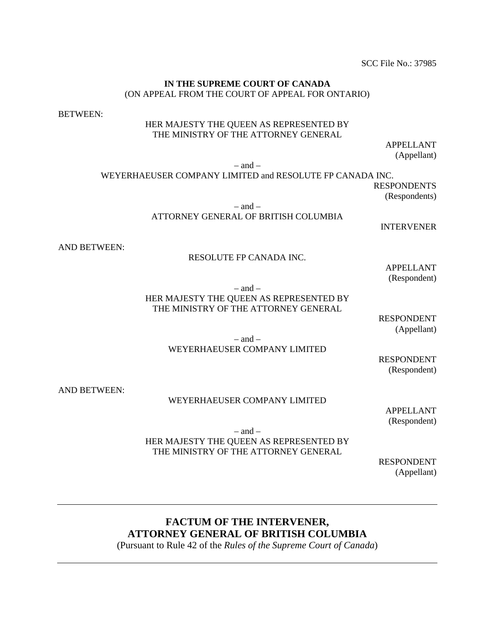SCC File No.: 37985

#### **IN THE SUPREME COURT OF CANADA** (ON APPEAL FROM THE COURT OF APPEAL FOR ONTARIO)

BETWEEN:

## HER MAJESTY THE QUEEN AS REPRESENTED BY THE MINISTRY OF THE ATTORNEY GENERAL

APPELLANT (Appellant)

 $-$  and  $-$ 

WEYERHAEUSER COMPANY LIMITED and RESOLUTE FP CANADA INC.

RESPONDENTS (Respondents)

 $-$  and  $-$ 

ATTORNEY GENERAL OF BRITISH COLUMBIA

INTERVENER

AND BETWEEN:

### RESOLUTE FP CANADA INC.

APPELLANT (Respondent)

 $-$  and  $-$ HER MAJESTY THE QUEEN AS REPRESENTED BY THE MINISTRY OF THE ATTORNEY GENERAL

> RESPONDENT (Appellant)

 $-$  and  $-$ WEYERHAEUSER COMPANY LIMITED

RESPONDENT (Respondent)

AND BETWEEN:

#### WEYERHAEUSER COMPANY LIMITED

APPELLANT (Respondent)

 $-$  and  $-$ HER MAJESTY THE QUEEN AS REPRESENTED BY THE MINISTRY OF THE ATTORNEY GENERAL

> RESPONDENT (Appellant)

# **FACTUM OF THE INTERVENER, ATTORNEY GENERAL OF BRITISH COLUMBIA**

(Pursuant to Rule 42 of the *Rules of the Supreme Court of Canada*)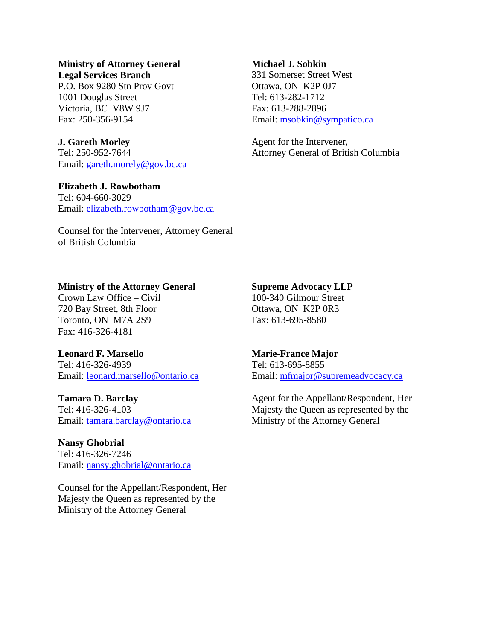### **Ministry of Attorney General Legal Services Branch**

P.O. Box 9280 Stn Prov Govt 1001 Douglas Street Victoria, BC V8W 9J7 Fax: 250-356-9154

# **J. Gareth Morley**

Tel: 250-952-7644 Email: [gareth.morely@gov.bc.ca](mailto:gareth.morely@gov.bc.ca)

# **Elizabeth J. Rowbotham**

Tel: 604-660-3029 Email: [elizabeth.rowbotham@gov.bc.ca](mailto:elizabeth.rowbotham@gov.bc.ca)

Counsel for the Intervener, Attorney General of British Columbia

## **Michael J. Sobkin**

331 Somerset Street West Ottawa, ON K2P 0J7 Tel: 613-282-1712 Fax: 613-288-2896 Email: [msobkin@sympatico.ca](mailto:msobkin@sympatico.ca)

Agent for the Intervener, Attorney General of British Columbia

# **Ministry of the Attorney General**

Crown Law Office – Civil 720 Bay Street, 8th Floor Toronto, ON M7A 2S9 Fax: 416-326-4181

# **Leonard F. Marsello**

Tel: 416-326-4939 Email: [leonard.marsello@ontario.ca](mailto:leonard.marsello@ontario.ca)

# **Tamara D. Barclay**

Tel: 416-326-4103 Email: [tamara.barclay@ontario.ca](mailto:tamara.barclay@ontario.ca)

# **Nansy Ghobrial**

Tel: 416-326-7246 Email: [nansy.ghobrial@ontario.ca](mailto:nansy.ghobrial@ontario.ca)

Counsel for the Appellant/Respondent, Her Majesty the Queen as represented by the Ministry of the Attorney General

# **Supreme Advocacy LLP**

100-340 Gilmour Street Ottawa, ON K2P 0R3 Fax: 613-695-8580

# **Marie-France Major**

Tel: 613-695-8855 Email: [mfmajor@supremeadvocacy.ca](mailto:mfmajor@supremeadvocacy.ca)

Agent for the Appellant/Respondent, Her Majesty the Queen as represented by the Ministry of the Attorney General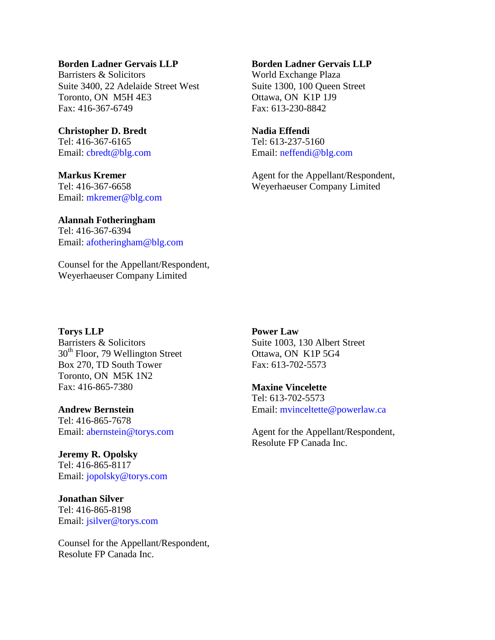# **Borden Ladner Gervais LLP**

Barristers & Solicitors Suite 3400, 22 Adelaide Street West Toronto, ON M5H 4E3 Fax: 416-367-6749

**Christopher D. Bredt** Tel: 416-367-6165 Email: cbredt@blg.com

**Markus Kremer** Tel: 416-367-6658 Email: mkremer@blg.com

### **Borden Ladner Gervais LLP**

World Exchange Plaza Suite 1300, 100 Queen Street Ottawa, ON K1P 1J9 Fax: 613-230-8842

### **Nadia Effendi**

Tel: 613-237-5160 Email: neffendi@blg.com

Agent for the Appellant/Respondent, Weyerhaeuser Company Limited

### **Alannah Fotheringham** Tel: 416-367-6394 Email: afotheringham@blg.com

Counsel for the Appellant/Respondent, Weyerhaeuser Company Limited

# **Torys LLP**

Barristers & Solicitors  $30<sup>th</sup>$  Floor, 79 Wellington Street Box 270, TD South Tower Toronto, ON M5K 1N2 Fax: 416-865-7380

## **Andrew Bernstein**

Tel: 416-865-7678 Email: abernstein@torys.com

**Jeremy R. Opolsky** Tel: 416-865-8117 Email: jopolsky@torys.com

**Jonathan Silver** Tel: 416-865-8198 Email: jsilver@torys.com

Counsel for the Appellant/Respondent, Resolute FP Canada Inc.

**Power Law** Suite 1003, 130 Albert Street Ottawa, ON K1P 5G4 Fax: 613-702-5573

# **Maxine Vincelette**

Tel: 613-702-5573 Email: mvinceltette@powerlaw.ca

Agent for the Appellant/Respondent, Resolute FP Canada Inc.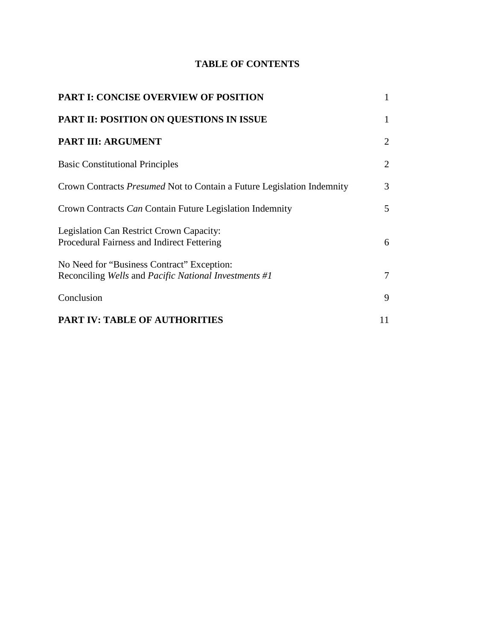# **TABLE OF CONTENTS**

| <b>PART I: CONCISE OVERVIEW OF POSITION</b>                                                         | 1            |
|-----------------------------------------------------------------------------------------------------|--------------|
| <b>PART II: POSITION ON QUESTIONS IN ISSUE</b>                                                      | $\mathbf{1}$ |
| <b>PART III: ARGUMENT</b>                                                                           | 2            |
| <b>Basic Constitutional Principles</b>                                                              | 2            |
| Crown Contracts <i>Presumed</i> Not to Contain a Future Legislation Indemnity                       | 3            |
| Crown Contracts Can Contain Future Legislation Indemnity                                            | 5            |
| Legislation Can Restrict Crown Capacity:<br>Procedural Fairness and Indirect Fettering              | 6            |
| No Need for "Business Contract" Exception:<br>Reconciling Wells and Pacific National Investments #1 | 7            |
| Conclusion                                                                                          | 9            |
| <b>PART IV: TABLE OF AUTHORITIES</b>                                                                | 11           |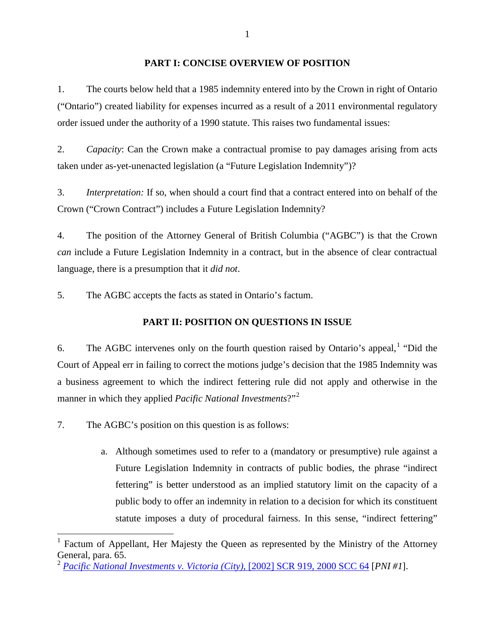### **PART I: CONCISE OVERVIEW OF POSITION**

1. The courts below held that a 1985 indemnity entered into by the Crown in right of Ontario ("Ontario") created liability for expenses incurred as a result of a 2011 environmental regulatory order issued under the authority of a 1990 statute. This raises two fundamental issues:

2. *Capacity*: Can the Crown make a contractual promise to pay damages arising from acts taken under as-yet-unenacted legislation (a "Future Legislation Indemnity")?

3. *Interpretation:* If so, when should a court find that a contract entered into on behalf of the Crown ("Crown Contract") includes a Future Legislation Indemnity?

4. The position of the Attorney General of British Columbia ("AGBC") is that the Crown *can* include a Future Legislation Indemnity in a contract, but in the absence of clear contractual language, there is a presumption that it *did not*.

5. The AGBC accepts the facts as stated in Ontario's factum.

# **PART II: POSITION ON QUESTIONS IN ISSUE**

6. The AGBC intervenes only on the fourth question raised by Ontario's appeal, <sup>[1](#page-4-0)</sup> "Did the Court of Appeal err in failing to correct the motions judge's decision that the 1985 Indemnity was a business agreement to which the indirect fettering rule did not apply and otherwise in the manner in which they applied *Pacific National Investments*?"[2](#page-4-1)

7. The AGBC's position on this question is as follows:

a. Although sometimes used to refer to a (mandatory or presumptive) rule against a Future Legislation Indemnity in contracts of public bodies, the phrase "indirect fettering" is better understood as an implied statutory limit on the capacity of a public body to offer an indemnity in relation to a decision for which its constituent statute imposes a duty of procedural fairness. In this sense, "indirect fettering"

<span id="page-4-0"></span><sup>1</sup> Factum of Appellant, Her Majesty the Queen as represented by the Ministry of the Attorney General, para. 65.

<span id="page-4-1"></span><sup>2</sup> *[Pacific National Investments v. Victoria \(City\)](https://www.canlii.org/en/ca/scc/doc/2000/2000scc64/2000scc64.html?resultIndex=1)*, [2002] SCR 919, 2000 SCC 64 [*PNI #1*].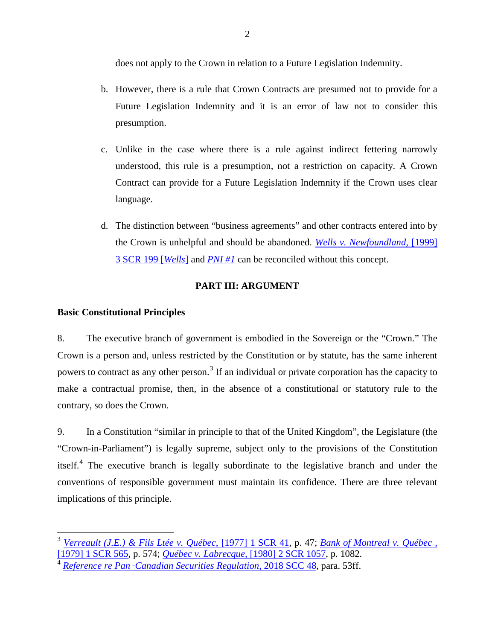does not apply to the Crown in relation to a Future Legislation Indemnity.

- b. However, there is a rule that Crown Contracts are presumed not to provide for a Future Legislation Indemnity and it is an error of law not to consider this presumption.
- c. Unlike in the case where there is a rule against indirect fettering narrowly understood, this rule is a presumption, not a restriction on capacity. A Crown Contract can provide for a Future Legislation Indemnity if the Crown uses clear language.
- d. The distinction between "business agreements" and other contracts entered into by the Crown is unhelpful and should be abandoned. *[Wells v. Newfoundland,](http://canlii.ca/t/1fqjf)* [1999] [3 SCR 199 \[](http://canlii.ca/t/1fqjf)*Wells*] and *[PNI #1](http://canlii.ca/t/522z)* can be reconciled without this concept.

## **PART III: ARGUMENT**

## **Basic Constitutional Principles**

8. The executive branch of government is embodied in the Sovereign or the "Crown." The Crown is a person and, unless restricted by the Constitution or by statute, has the same inherent powers to contract as any other person.<sup>[3](#page-5-0)</sup> If an individual or private corporation has the capacity to make a contractual promise, then, in the absence of a constitutional or statutory rule to the contrary, so does the Crown.

9. In a Constitution "similar in principle to that of the United Kingdom", the Legislature (the "Crown-in-Parliament") is legally supreme, subject only to the provisions of the Constitution itself.<sup>[4](#page-5-1)</sup> The executive branch is legally subordinate to the legislative branch and under the conventions of responsible government must maintain its confidence. There are three relevant implications of this principle.

<span id="page-5-0"></span><sup>3</sup> *[Verreault \(J.E.\) & Fils Ltée v.](http://canlii.ca/t/1z6dl) Québec*, [1977] 1 SCR 41, p. 47; *[Bank of Montreal v. Québec ,](http://canlii.ca/t/1z76w)*  [\[1979\] 1 SCR 565,](http://canlii.ca/t/1z76w) p. 574; *[Québec v. Labrecque,](http://canlii.ca/t/1mjvt)* [1980] 2 SCR 1057, p. 1082.

<span id="page-5-1"></span><sup>4</sup> *Reference re Pan*‑*[Canadian Securities Regulation](http://canlii.ca/t/hw0hz#par52)*, 2018 SCC 48, para. 53ff.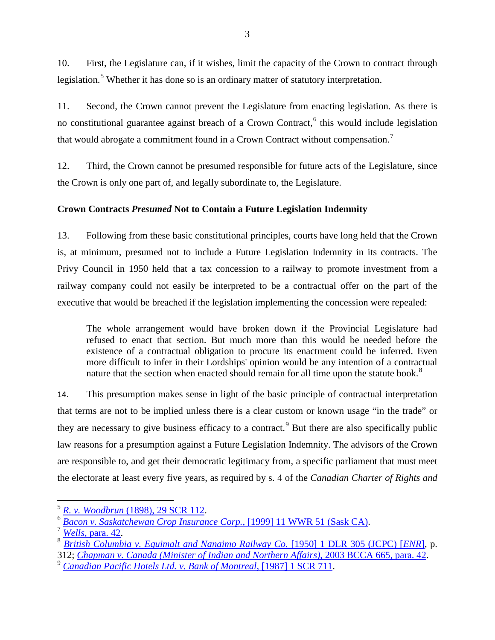10. First, the Legislature can, if it wishes, limit the capacity of the Crown to contract through legislation.<sup>[5](#page-6-0)</sup> Whether it has done so is an ordinary matter of statutory interpretation.

11. Second, the Crown cannot prevent the Legislature from enacting legislation. As there is no constitutional guarantee against breach of a Crown Contract,<sup>[6](#page-6-1)</sup> this would include legislation that would abrogate a commitment found in a Crown Contract without compensation.[7](#page-6-2)

12. Third, the Crown cannot be presumed responsible for future acts of the Legislature, since the Crown is only one part of, and legally subordinate to, the Legislature.

# **Crown Contracts** *Presumed* **Not to Contain a Future Legislation Indemnity**

13. Following from these basic constitutional principles, courts have long held that the Crown is, at minimum, presumed not to include a Future Legislation Indemnity in its contracts. The Privy Council in 1950 held that a tax concession to a railway to promote investment from a railway company could not easily be interpreted to be a contractual offer on the part of the executive that would be breached if the legislation implementing the concession were repealed:

The whole arrangement would have broken down if the Provincial Legislature had refused to enact that section. But much more than this would be needed before the existence of a contractual obligation to procure its enactment could be inferred. Even more difficult to infer in their Lordships' opinion would be any intention of a contractual nature that the section when enacted should remain for all time upon the statute book.<sup>[8](#page-6-3)</sup>

14. This presumption makes sense in light of the basic principle of contractual interpretation that terms are not to be implied unless there is a clear custom or known usage "in the trade" or they are necessary to give business efficacy to a contract.<sup>[9](#page-6-4)</sup> But there are also specifically public law reasons for a presumption against a Future Legislation Indemnity. The advisors of the Crown are responsible to, and get their democratic legitimacy from, a specific parliament that must meet the electorate at least every five years, as required by s. 4 of the *Canadian Charter of Rights and* 

<span id="page-6-1"></span>

<span id="page-6-2"></span>

<span id="page-6-0"></span><sup>&</sup>lt;sup>5</sup> R. v. Woodbrun [\(1898\), 29 SCR 112.](http://canlii.ca/t/ggx6z)<br>
<sup>6</sup> [Bacon v. Saskatchewan Crop Insurance Corp.](http://canlii.ca/t/1l770), [1999] 11 WWR 51 (Sask CA).<br>
<sup>7</sup> Wells, [para. 42.](http://canlii.ca/t/1fqjf#par41)<br>
<sup>8</sup> [British Columbia v. Equimalt and Nanaimo Railway Co.](http://canlii.ca/t/gcj25) [1950] 1 DLR 305 (JCPC) [

<span id="page-6-4"></span><span id="page-6-3"></span><sup>&</sup>lt;sup>9</sup> [Canadian Pacific Hotels Ltd. v. Bank of Montreal](http://canlii.ca/t/1ftm7), [1987] 1 SCR 711.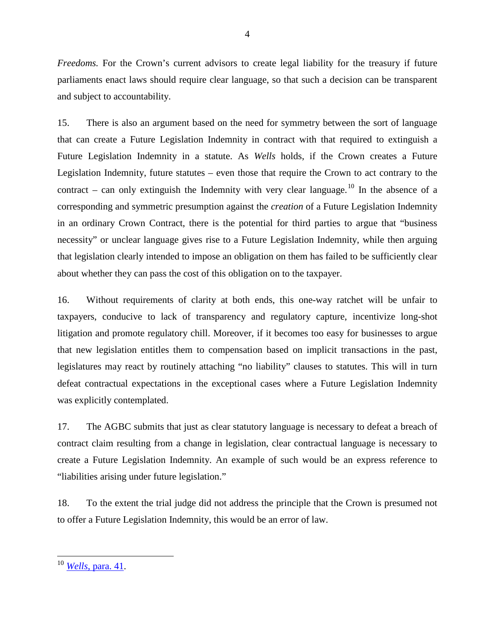*Freedoms.* For the Crown's current advisors to create legal liability for the treasury if future parliaments enact laws should require clear language, so that such a decision can be transparent and subject to accountability.

15. There is also an argument based on the need for symmetry between the sort of language that can create a Future Legislation Indemnity in contract with that required to extinguish a Future Legislation Indemnity in a statute. As *Wells* holds, if the Crown creates a Future Legislation Indemnity, future statutes – even those that require the Crown to act contrary to the contract – can only extinguish the Indemnity with very clear language.<sup>[10](#page-7-0)</sup> In the absence of a corresponding and symmetric presumption against the *creation* of a Future Legislation Indemnity in an ordinary Crown Contract, there is the potential for third parties to argue that "business necessity" or unclear language gives rise to a Future Legislation Indemnity, while then arguing that legislation clearly intended to impose an obligation on them has failed to be sufficiently clear about whether they can pass the cost of this obligation on to the taxpayer.

16. Without requirements of clarity at both ends, this one-way ratchet will be unfair to taxpayers, conducive to lack of transparency and regulatory capture, incentivize long-shot litigation and promote regulatory chill. Moreover, if it becomes too easy for businesses to argue that new legislation entitles them to compensation based on implicit transactions in the past, legislatures may react by routinely attaching "no liability" clauses to statutes. This will in turn defeat contractual expectations in the exceptional cases where a Future Legislation Indemnity was explicitly contemplated.

17. The AGBC submits that just as clear statutory language is necessary to defeat a breach of contract claim resulting from a change in legislation, clear contractual language is necessary to create a Future Legislation Indemnity. An example of such would be an express reference to "liabilities arising under future legislation."

18. To the extent the trial judge did not address the principle that the Crown is presumed not to offer a Future Legislation Indemnity, this would be an error of law.

<sup>4</sup>

<span id="page-7-0"></span><sup>10</sup> *Wells*[, para. 41.](http://canlii.ca/t/1fqjf#par40)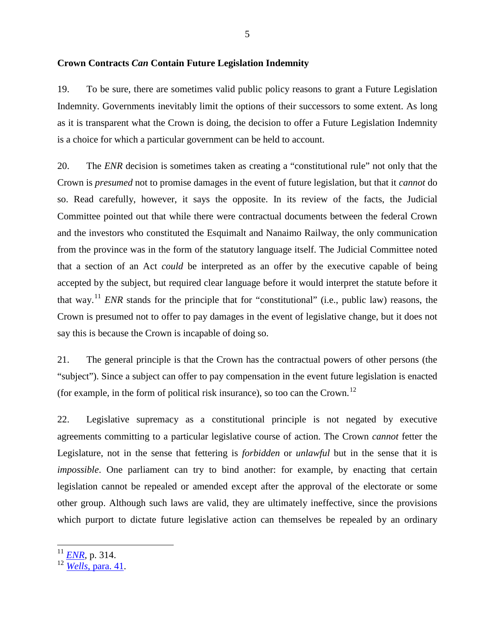19. To be sure, there are sometimes valid public policy reasons to grant a Future Legislation Indemnity. Governments inevitably limit the options of their successors to some extent. As long as it is transparent what the Crown is doing, the decision to offer a Future Legislation Indemnity is a choice for which a particular government can be held to account.

20. The *ENR* decision is sometimes taken as creating a "constitutional rule" not only that the Crown is *presumed* not to promise damages in the event of future legislation, but that it *cannot* do so. Read carefully, however, it says the opposite. In its review of the facts, the Judicial Committee pointed out that while there were contractual documents between the federal Crown and the investors who constituted the Esquimalt and Nanaimo Railway, the only communication from the province was in the form of the statutory language itself. The Judicial Committee noted that a section of an Act *could* be interpreted as an offer by the executive capable of being accepted by the subject, but required clear language before it would interpret the statute before it that way.[11](#page-8-0) *ENR* stands for the principle that for "constitutional" (i.e., public law) reasons, the Crown is presumed not to offer to pay damages in the event of legislative change, but it does not say this is because the Crown is incapable of doing so.

21. The general principle is that the Crown has the contractual powers of other persons (the "subject"). Since a subject can offer to pay compensation in the event future legislation is enacted (for example, in the form of political risk insurance), so too can the Crown.<sup>[12](#page-8-1)</sup>

22. Legislative supremacy as a constitutional principle is not negated by executive agreements committing to a particular legislative course of action. The Crown *cannot* fetter the Legislature, not in the sense that fettering is *forbidden* or *unlawful* but in the sense that it is *impossible*. One parliament can try to bind another: for example, by enacting that certain legislation cannot be repealed or amended except after the approval of the electorate or some other group. Although such laws are valid, they are ultimately ineffective, since the provisions which purport to dictate future legislative action can themselves be repealed by an ordinary

<span id="page-8-0"></span><sup>11</sup> *ENR,* p. 314.

<span id="page-8-1"></span><sup>12</sup> *Wells*[, para. 41.](http://canlii.ca/t/1fqjf#par40)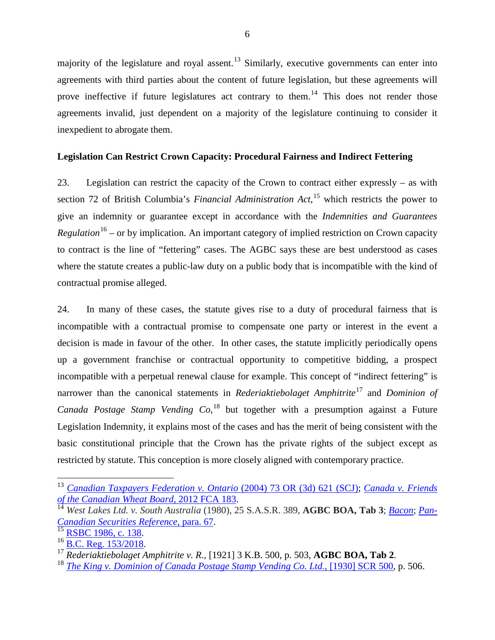majority of the legislature and royal assent.<sup>[13](#page-9-0)</sup> Similarly, executive governments can enter into agreements with third parties about the content of future legislation, but these agreements will prove ineffective if future legislatures act contrary to them.<sup>[14](#page-9-1)</sup> This does not render those agreements invalid, just dependent on a majority of the legislature continuing to consider it inexpedient to abrogate them.

## **Legislation Can Restrict Crown Capacity: Procedural Fairness and Indirect Fettering**

23. Legislation can restrict the capacity of the Crown to contract either expressly – as with section 72 of British Columbia's *Financial Administration Act*, [15](#page-9-2) which restricts the power to give an indemnity or guarantee except in accordance with the *Indemnities and Guarantees Regulation*<sup>[16](#page-9-3)</sup> – or by implication. An important category of implied restriction on Crown capacity to contract is the line of "fettering" cases. The AGBC says these are best understood as cases where the statute creates a public-law duty on a public body that is incompatible with the kind of contractual promise alleged.

24. In many of these cases, the statute gives rise to a duty of procedural fairness that is incompatible with a contractual promise to compensate one party or interest in the event a decision is made in favour of the other. In other cases, the statute implicitly periodically opens up a government franchise or contractual opportunity to competitive bidding, a prospect incompatible with a perpetual renewal clause for example. This concept of "indirect fettering" is narrower than the canonical statements in *Rederiaktiebolaget Amphitrite*[17](#page-9-4) and *Dominion of Canada Postage Stamp Vending Co*, [18](#page-9-5) but together with a presumption against a Future Legislation Indemnity, it explains most of the cases and has the merit of being consistent with the basic constitutional principle that the Crown has the private rights of the subject except as restricted by statute. This conception is more closely aligned with contemporary practice.

<span id="page-9-0"></span><sup>&</sup>lt;sup>13</sup> *Canadian Taxpayers Federation v. Ontario* (2004) 73 OR (3d) 621 (SCJ); *Canada v. Friends* of the Canadian Wheat Board, 2012 FCA 183.<br><sup>14</sup> West Lakes Ltd. *y. South Australia (1000)* 25 S. 1. 2. 2. 2. 2. 2. 2. 2. 2.

<span id="page-9-1"></span>*West Lakes Ltd. v. South Australia* (1980), 25 S.A.S.R. 389, **AGBC BOA, Tab 3**; *[Bacon](http://canlii.ca/t/1l770)*; *[Pan-](http://canlii.ca/t/hw0hz#par66)*[Canadian Securities Reference,](http://canlii.ca/t/hw0hz#par66) para. 67.<br>
<sup>15</sup> [RSBC 1986, c. 138.](http://www.bclaws.ca/civix/document/id/complete/statreg/96138_01#section72)<br>
<sup>16</sup> [B.C. Reg. 153/2018.](http://www.bclaws.ca/civix/document/id/complete/statreg/153_2018)<br>
<sup>17</sup> Rederiaktiebolaget Amphitrite v. R., [1921] 3 K.B. 500, p. 503, **AGBC BOA, Tab 2**.<br>
<sup>17</sup> The King v. Dominion of Canada Pos

<span id="page-9-3"></span><span id="page-9-2"></span>

<span id="page-9-4"></span>

<span id="page-9-5"></span>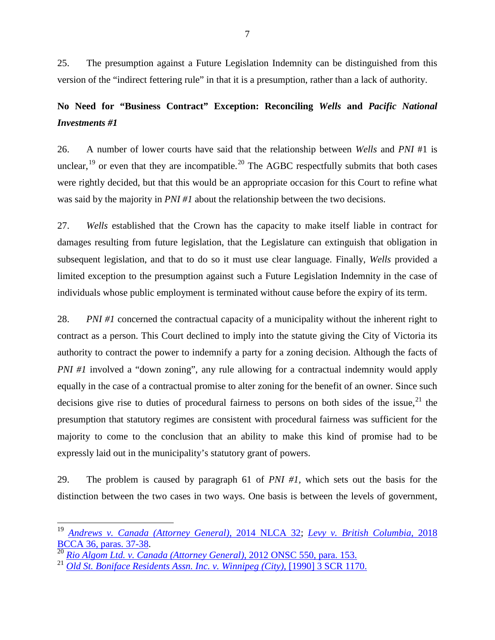25. The presumption against a Future Legislation Indemnity can be distinguished from this version of the "indirect fettering rule" in that it is a presumption, rather than a lack of authority.

# **No Need for "Business Contract" Exception: Reconciling** *Wells* **and** *Pacific National Investments #1*

26. A number of lower courts have said that the relationship between *Wells* and *PNI* #1 is unclear,  $^{19}$  $^{19}$  $^{19}$  or even that they are incompatible.<sup>[20](#page-10-1)</sup> The AGBC respectfully submits that both cases were rightly decided, but that this would be an appropriate occasion for this Court to refine what was said by the majority in *PNI #1* about the relationship between the two decisions.

27. *Wells* established that the Crown has the capacity to make itself liable in contract for damages resulting from future legislation, that the Legislature can extinguish that obligation in subsequent legislation, and that to do so it must use clear language. Finally, *Wells* provided a limited exception to the presumption against such a Future Legislation Indemnity in the case of individuals whose public employment is terminated without cause before the expiry of its term.

28. *PNI #1* concerned the contractual capacity of a municipality without the inherent right to contract as a person. This Court declined to imply into the statute giving the City of Victoria its authority to contract the power to indemnify a party for a zoning decision. Although the facts of *PNI #1* involved a "down zoning", any rule allowing for a contractual indemnity would apply equally in the case of a contractual promise to alter zoning for the benefit of an owner. Since such decisions give rise to duties of procedural fairness to persons on both sides of the issue,  $21$  the presumption that statutory regimes are consistent with procedural fairness was sufficient for the majority to come to the conclusion that an ability to make this kind of promise had to be expressly laid out in the municipality's statutory grant of powers.

29. The problem is caused by paragraph 61 of *PNI #1,* which sets out the basis for the distinction between the two cases in two ways. One basis is between the levels of government,

<span id="page-10-0"></span><sup>19</sup> *[Andrews v. Canada \(Attorney General\),](http://canlii.ca/t/g8vfc)* 2014 NLCA 32; *[Levy v. British Columbia,](http://canlii.ca/t/hq4sj#par36)* <sup>2018</sup>

<span id="page-10-1"></span><sup>&</sup>lt;sup>20</sup> [Rio Algom Ltd. v. Canada \(Attorney General\),](http://canlii.ca/t/fpm0f#par152) 2012 ONSC 550, para. 153. <sup>21</sup> [Old St. Boniface Residents Assn. Inc. v. Winnipeg \(City\)](http://canlii.ca/t/1fspc), [1990] 3 SCR 1170.

<span id="page-10-2"></span>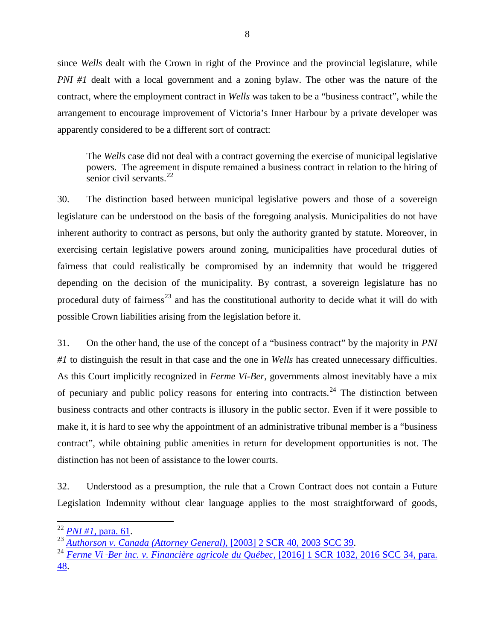since *Wells* dealt with the Crown in right of the Province and the provincial legislature, while *PNI #1* dealt with a local government and a zoning bylaw. The other was the nature of the contract, where the employment contract in *Wells* was taken to be a "business contract", while the arrangement to encourage improvement of Victoria's Inner Harbour by a private developer was apparently considered to be a different sort of contract:

The *Wells* case did not deal with a contract governing the exercise of municipal legislative powers. The agreement in dispute remained a business contract in relation to the hiring of senior civil servants.<sup>[22](#page-11-0)</sup>

30. The distinction based between municipal legislative powers and those of a sovereign legislature can be understood on the basis of the foregoing analysis. Municipalities do not have inherent authority to contract as persons, but only the authority granted by statute. Moreover, in exercising certain legislative powers around zoning, municipalities have procedural duties of fairness that could realistically be compromised by an indemnity that would be triggered depending on the decision of the municipality. By contrast, a sovereign legislature has no procedural duty of fairness<sup>[23](#page-11-1)</sup> and has the constitutional authority to decide what it will do with possible Crown liabilities arising from the legislation before it.

31. On the other hand, the use of the concept of a "business contract" by the majority in *PNI #1* to distinguish the result in that case and the one in *Wells* has created unnecessary difficulties. As this Court implicitly recognized in *Ferme Vi-Ber,* governments almost inevitably have a mix of pecuniary and public policy reasons for entering into contracts.<sup>[24](#page-11-2)</sup> The distinction between business contracts and other contracts is illusory in the public sector. Even if it were possible to make it, it is hard to see why the appointment of an administrative tribunal member is a "business contract", while obtaining public amenities in return for development opportunities is not. The distinction has not been of assistance to the lower courts.

32. Understood as a presumption, the rule that a Crown Contract does not contain a Future Legislation Indemnity without clear language applies to the most straightforward of goods,

<span id="page-11-1"></span><span id="page-11-0"></span><sup>22</sup> *PNI #1,* [para. 61.](http://canlii.ca/t/522z#par60) <sup>23</sup> *[Authorson v. Canada \(Attorney General\),](http://canlii.ca/t/51p6)* [2003] 2 SCR 40, 2003 SCC 39.

<span id="page-11-2"></span><sup>24</sup> *Ferme Vi*‑*Ber inc. v. Financière agricole du Québec,* [\[2016\] 1 SCR 1032, 2016 SCC 34, para.](http://canlii.ca/t/gsq3d)  [48.](http://canlii.ca/t/gsq3d)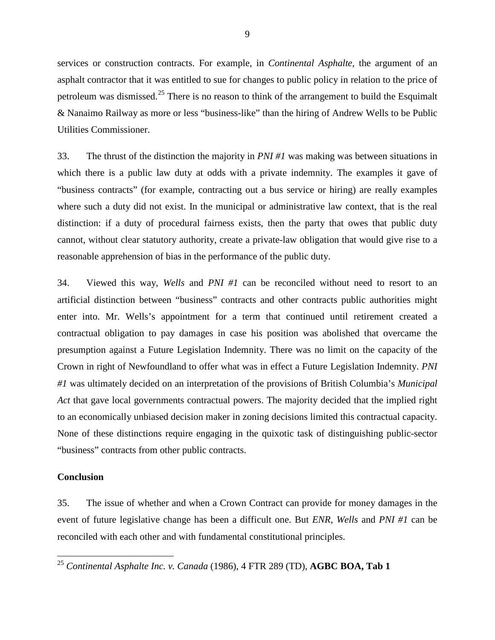services or construction contracts. For example, in *Continental Asphalte,* the argument of an asphalt contractor that it was entitled to sue for changes to public policy in relation to the price of petroleum was dismissed.<sup>[25](#page-12-0)</sup> There is no reason to think of the arrangement to build the Esquimalt & Nanaimo Railway as more or less "business-like" than the hiring of Andrew Wells to be Public Utilities Commissioner.

33. The thrust of the distinction the majority in *PNI #1* was making was between situations in which there is a public law duty at odds with a private indemnity. The examples it gave of "business contracts" (for example, contracting out a bus service or hiring) are really examples where such a duty did not exist. In the municipal or administrative law context, that is the real distinction: if a duty of procedural fairness exists, then the party that owes that public duty cannot, without clear statutory authority, create a private-law obligation that would give rise to a reasonable apprehension of bias in the performance of the public duty.

34. Viewed this way, *Wells* and *PNI #1* can be reconciled without need to resort to an artificial distinction between "business" contracts and other contracts public authorities might enter into. Mr. Wells's appointment for a term that continued until retirement created a contractual obligation to pay damages in case his position was abolished that overcame the presumption against a Future Legislation Indemnity. There was no limit on the capacity of the Crown in right of Newfoundland to offer what was in effect a Future Legislation Indemnity. *PNI #1* was ultimately decided on an interpretation of the provisions of British Columbia's *Municipal Act* that gave local governments contractual powers. The majority decided that the implied right to an economically unbiased decision maker in zoning decisions limited this contractual capacity. None of these distinctions require engaging in the quixotic task of distinguishing public-sector "business" contracts from other public contracts.

### **Conclusion**

35. The issue of whether and when a Crown Contract can provide for money damages in the event of future legislative change has been a difficult one. But *ENR, Wells* and *PNI #1* can be reconciled with each other and with fundamental constitutional principles.

<span id="page-12-0"></span><sup>25</sup> *Continental Asphalte Inc. v. Canada* (1986), 4 FTR 289 (TD), **AGBC BOA, Tab 1**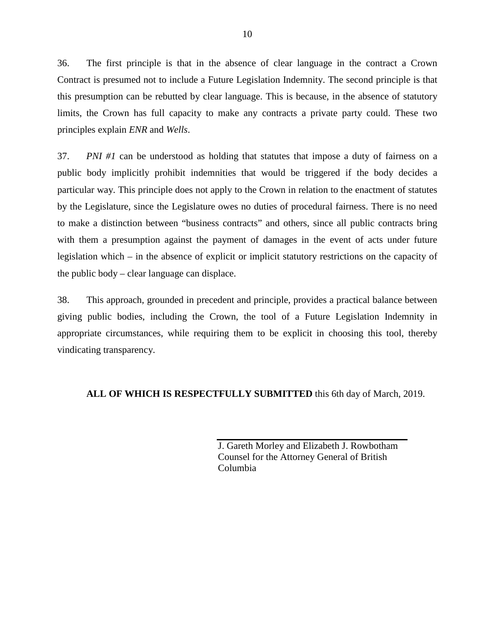36. The first principle is that in the absence of clear language in the contract a Crown Contract is presumed not to include a Future Legislation Indemnity. The second principle is that this presumption can be rebutted by clear language. This is because, in the absence of statutory limits, the Crown has full capacity to make any contracts a private party could. These two principles explain *ENR* and *Wells*.

37. *PNI #1* can be understood as holding that statutes that impose a duty of fairness on a public body implicitly prohibit indemnities that would be triggered if the body decides a particular way. This principle does not apply to the Crown in relation to the enactment of statutes by the Legislature, since the Legislature owes no duties of procedural fairness. There is no need to make a distinction between "business contracts" and others, since all public contracts bring with them a presumption against the payment of damages in the event of acts under future legislation which – in the absence of explicit or implicit statutory restrictions on the capacity of the public body – clear language can displace.

38. This approach, grounded in precedent and principle, provides a practical balance between giving public bodies, including the Crown, the tool of a Future Legislation Indemnity in appropriate circumstances, while requiring them to be explicit in choosing this tool, thereby vindicating transparency.

#### **ALL OF WHICH IS RESPECTFULLY SUBMITTED** this 6th day of March, 2019.

J. Gareth Morley and Elizabeth J. Rowbotham Counsel for the Attorney General of British Columbia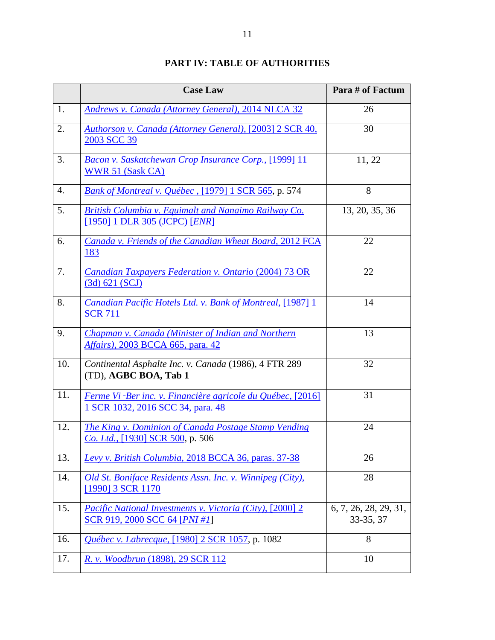# **PART IV: TABLE OF AUTHORITIES**

|     | <b>Case Law</b>                                                                                     | Para # of Factum                   |
|-----|-----------------------------------------------------------------------------------------------------|------------------------------------|
| 1.  | <b>Andrews v. Canada (Attorney General), 2014 NLCA 32</b>                                           | 26                                 |
| 2.  | Authorson v. Canada (Attorney General), [2003] 2 SCR 40,<br>2003 SCC 39                             | 30                                 |
| 3.  | Bacon v. Saskatchewan Crop Insurance Corp., [1999] 11<br>WWR 51 (Sask CA)                           | 11, 22                             |
| 4.  | Bank of Montreal v. Québec, [1979] 1 SCR 565, p. 574                                                | 8                                  |
| 5.  | British Columbia v. Equimalt and Nanaimo Railway Co.<br>[1950] 1 DLR 305 (JCPC) [ENR]               | 13, 20, 35, 36                     |
| 6.  | Canada v. Friends of the Canadian Wheat Board, 2012 FCA<br>183                                      | 22                                 |
| 7.  | Canadian Taxpayers Federation v. Ontario (2004) 73 OR<br>(3d) 621 (SCJ)                             | 22                                 |
| 8.  | Canadian Pacific Hotels Ltd. v. Bank of Montreal, [1987] 1<br><b>SCR 711</b>                        | 14                                 |
| 9.  | Chapman v. Canada (Minister of Indian and Northern<br>Affairs), 2003 BCCA 665, para. 42             | 13                                 |
| 10. | Continental Asphalte Inc. v. Canada (1986), 4 FTR 289<br>(TD), AGBC BOA, Tab 1                      | 32                                 |
| 11. | Ferme Vi-Ber inc. v. Financière agricole du Québec, [2016]<br>1 SCR 1032, 2016 SCC 34, para. 48     | 31                                 |
| 12. | The King v. Dominion of Canada Postage Stamp Vending<br>Co. Ltd., [1930] SCR 500, p. 506            | 24                                 |
| 13. | Levy v. British Columbia, 2018 BCCA 36, paras. 37-38                                                | 26                                 |
| 14. | Old St. Boniface Residents Assn. Inc. v. Winnipeg (City),<br>[1990] 3 SCR 1170                      | 28                                 |
| 15. | Pacific National Investments v. Victoria (City), [2000] 2<br>SCR 919, 2000 SCC 64 [ <i>PNI #1</i> ] | 6, 7, 26, 28, 29, 31,<br>33-35, 37 |
| 16. | <i>Québec v. Labrecque,</i> [1980] 2 SCR 1057, p. 1082                                              | 8                                  |
| 17. | R. v. Woodbrun (1898), 29 SCR 112                                                                   | 10                                 |